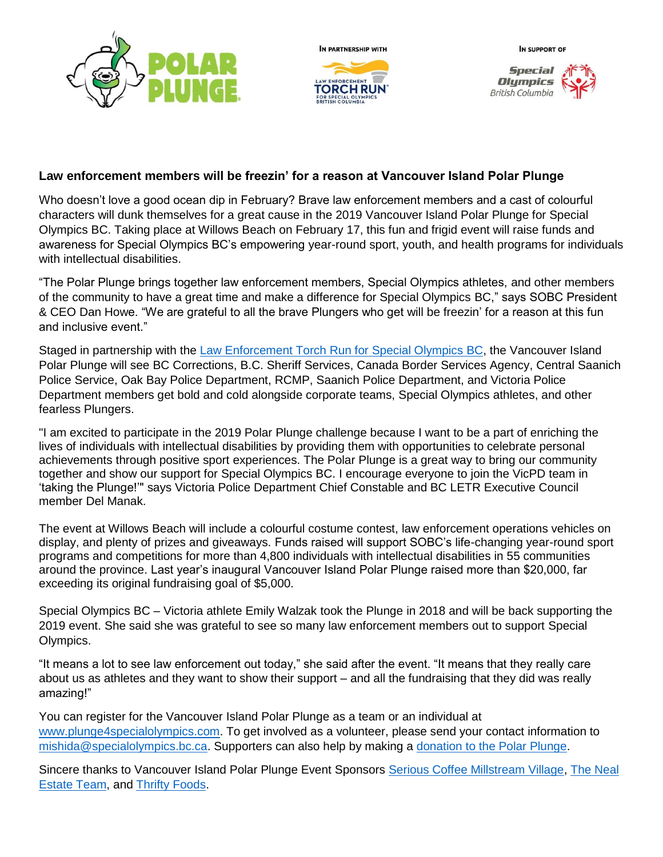







## **Law enforcement members will be freezin' for a reason at Vancouver Island Polar Plunge**

Who doesn't love a good ocean dip in February? Brave law enforcement members and a cast of colourful characters will dunk themselves for a great cause in the 2019 Vancouver Island Polar Plunge for Special Olympics BC. Taking place at Willows Beach on February 17, this fun and frigid event will raise funds and awareness for Special Olympics BC's empowering year-round sport, youth, and health programs for individuals with intellectual disabilities.

"The Polar Plunge brings together law enforcement members, Special Olympics athletes, and other members of the community to have a great time and make a difference for Special Olympics BC," says SOBC President & CEO Dan Howe. "We are grateful to all the brave Plungers who get will be freezin' for a reason at this fun and inclusive event."

Staged in partnership with the [Law Enforcement Torch Run for Special Olympics BC,](https://www.specialolympics.ca/british-columbia/ways-give/law-enforcement-torch-run) the Vancouver Island Polar Plunge will see BC Corrections, B.C. Sheriff Services, Canada Border Services Agency, Central Saanich Police Service, Oak Bay Police Department, RCMP, Saanich Police Department, and Victoria Police Department members get bold and cold alongside corporate teams, Special Olympics athletes, and other fearless Plungers.

"I am excited to participate in the 2019 Polar Plunge challenge because I want to be a part of enriching the lives of individuals with intellectual disabilities by providing them with opportunities to celebrate personal achievements through positive sport experiences. The Polar Plunge is a great way to bring our community together and show our support for Special Olympics BC. I encourage everyone to join the VicPD team in 'taking the Plunge!'" says Victoria Police Department Chief Constable and BC LETR Executive Council member Del Manak.

The event at Willows Beach will include a colourful costume contest, law enforcement operations vehicles on display, and plenty of prizes and giveaways. Funds raised will support SOBC's life-changing year-round sport programs and competitions for more than 4,800 individuals with intellectual disabilities in 55 communities around the province. Last year's inaugural Vancouver Island Polar Plunge raised more than \$20,000, far exceeding its original fundraising goal of \$5,000.

Special Olympics BC – Victoria athlete Emily Walzak took the Plunge in 2018 and will be back supporting the 2019 event. She said she was grateful to see so many law enforcement members out to support Special Olympics.

"It means a lot to see law enforcement out today," she said after the event. "It means that they really care about us as athletes and they want to show their support – and all the fundraising that they did was really amazing!"

You can register for the Vancouver Island Polar Plunge as a team or an individual at [www.plunge4specialolympics.com.](https://secure.e2rm.com/registrant/EventHome.aspx?eventid=250412&langpref=en-CA&Referrer=direct%2fnone) To get involved as a volunteer, please send your contact information to [mishida@specialolympics.bc.ca.](mailto:mishida@specialolympics.bc.ca) Supporters can also help by making a [donation to the Polar Plunge.](https://secure.e2rm.com/registrant/donate.aspx?eventid=250412&langpref=en-CA&Referrer=direct%2fnone)

Sincere thanks to Vancouver Island Polar Plunge Event Sponsors [Serious Coffee Millstream Village,](https://www.seriouscoffee.com/millstream/) The Neal [Estate Team,](https://www.ronneal.com/) and [Thrifty Foods.](https://www.thriftyfoods.com/)